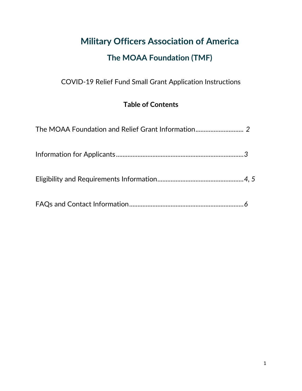# **Military Officers Association of America**

## **The MOAA Foundation (TMF)**

COVID-19 Relief Fund Small Grant Application Instructions

### **Table of Contents**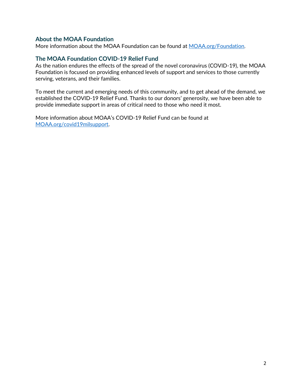#### **About the MOAA Foundation**

More information about the MOAA Foundation can be found at [MOAA.org/Foundation](https://www.moaa.org/foundation).

#### **The MOAA Foundation COVID-19 Relief Fund**

As the nation endures the effects of the spread of the novel coronavirus (COVID-19), the MOAA Foundation is focused on providing enhanced levels of support and services to those currently serving, veterans, and their families.

To meet the current and emerging needs of this community, and to get ahead of the demand, we established the COVID-19 Relief Fund. Thanks to our donors' generosity, we have been able to provide immediate support in areas of critical need to those who need it most.

More information about MOAA's COVID-19 Relief Fund can be found at [MOAA.org/covid19milsupport.](https://www.moaa.org/covid19milsupport)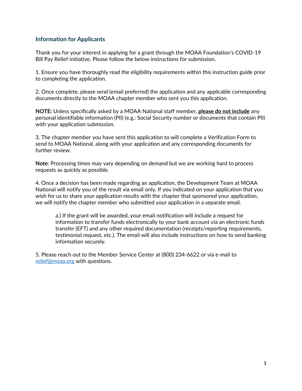#### **Information for Applicants**

Thank you for your interest in applying for a grant through the MOAA Foundation's COVID-19 Bill Pay Relief initiative. Please follow the below instructions for submission.

1. Ensure you have thoroughly read the eligibility requirements within this instruction guide prior to completing the application.

2. Once complete, please send (email preferred) the application and any applicable corresponding documents directly to the MOAA chapter member who sent you this application.

**NOTE:** Unless specifically asked by a MOAA National staff member, **please do not include** any personal identifiable information (PII) (e.g.: Social Security number or documents that contain PII) with your application submission.

3. The chapter member you have sent this application to will complete a Verification Form to send to MOAA National, along with your application and any corresponding documents for further review.

**Note**: Processing times may vary depending on demand but we are working hard to process requests as quickly as possible.

4. Once a decision has been made regarding an application, the Development Team at MOAA National will notify you of the result via email only. If you indicated on your application that you wish for us to share your application results with the chapter that sponsored your application, we will notify the chapter member who submitted your application in a separate email.

a.) If the grant will be awarded, your email notification will include a request for information to transfer funds electronically to your bank account via an electronic funds transfer (EFT) and any other required documentation (receipts/reporting requirements, testimonial request, etc.). The email will also include instructions on how to send banking information securely.

5. Please reach out to the Member Service Center at (800) 234-6622 or via e-mail to [relief@moaa.org](mailto:relief@moaa.org) with questions.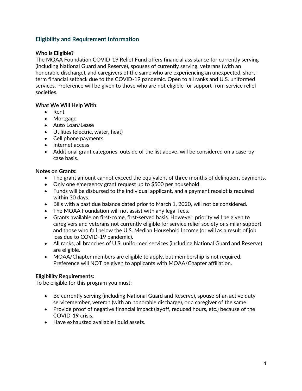#### **Eligibility and Requirement Information**

#### **Who is Eligible?**

The MOAA Foundation COVID-19 Relief Fund offers financial assistance for currently serving (including National Guard and Reserve), spouses of currently serving, veterans (with an honorable discharge), and caregivers of the same who are experiencing an unexpected, shortterm financial setback due to the COVID-19 pandemic. Open to all ranks and U.S. uniformed services. Preference will be given to those who are not eligible for support from service relief societies.

#### **What We Will Help With:**

- Rent
- Mortgage
- Auto Loan/Lease
- Utilities (electric, water, heat)
- Cell phone payments
- Internet access
- Additional grant categories, outside of the list above, will be considered on a case-bycase basis.

#### **Notes on Grants:**

- The grant amount cannot exceed the equivalent of three months of delinquent payments.
- Only one emergency grant request up to \$500 per household.
- Funds will be disbursed to the individual applicant, and a payment receipt is required within 30 days.
- Bills with a past due balance dated prior to March 1, 2020, will not be considered.
- The MOAA Foundation will not assist with any legal fees.
- Grants available on first-come, first-served basis. However, priority will be given to caregivers and veterans not currently eligible for service relief society or similar support and those who fall below the U.S. Median Household Income (or will as a result of job loss due to COVID-19 pandemic).
- All ranks, all branches of U.S. uniformed services (including National Guard and Reserve) are eligible.
- MOAA/Chapter members are eligible to apply, but membership is not required. Preference will NOT be given to applicants with MOAA/Chapter affiliation.

#### **Eligibility Requirements:**

To be eligible for this program you must:

- Be currently serving (including National Guard and Reserve), spouse of an active duty servicemember, veteran (with an honorable discharge), or a caregiver of the same.
- Provide proof of negative financial impact (layoff, reduced hours, etc.) because of the COVID-19 crisis.
- Have exhausted available liquid assets.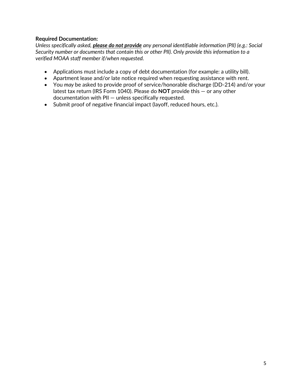#### **Required Documentation:**

*Unless specifically asked, please do not provide any personal identifiable information (PII) (e.g.: Social Security number or documents that contain this or other PII). Only provide this information to a verified MOAA staff member if/when requested.*

- Applications must include a copy of debt documentation (for example: a utility bill).
- Apartment lease and/or late notice required when requesting assistance with rent.
- You *may* be asked to provide proof of service/honorable discharge (DD-214) and/or your latest tax return (IRS Form 1040). Please do **NOT** provide this — or any other documentation with PII — unless specifically requested.
- Submit proof of negative financial impact (layoff, reduced hours, etc.).